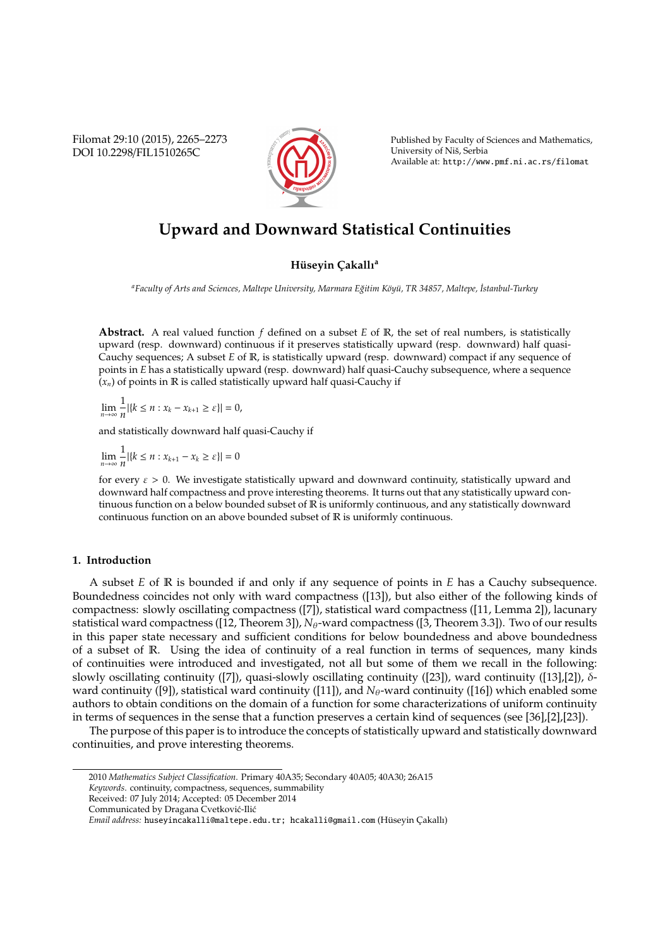Filomat 29:10 (2015), 2265–2273 DOI 10.2298/FIL1510265C



Published by Faculty of Sciences and Mathematics, University of Niš, Serbia Available at: http://www.pmf.ni.ac.rs/filomat

# **Upward and Downward Statistical Continuities**

## **Hüseyin Çakallı**<sup>a</sup>

*<sup>a</sup>Faculty of Arts and Sciences, Maltepe University, Marmara E˘gitim K¨oy ¨u, TR 34857, Maltepe, ˙Istanbul-Turkey*

**Abstract.** A real valued function *f* defined on a subset *E* of R, the set of real numbers, is statistically upward (resp. downward) continuous if it preserves statistically upward (resp. downward) half quasi-Cauchy sequences; A subset *E* of R, is statistically upward (resp. downward) compact if any sequence of points in *E* has a statistically upward (resp. downward) half quasi-Cauchy subsequence, where a sequence  $(x_n)$  of points in  $\mathbb R$  is called statistically upward half quasi-Cauchy if

lim<sup>1</sup><br><sup>n→∞</sup>n  $\frac{1}{n}$ |{ $k \le n : x_k - x_{k+1} \ge \varepsilon$ }| = 0,

and statistically downward half quasi-Cauchy if

lim<sup>1</sup><br><sup>n→∞</sup>n  $\frac{1}{n}$ |{ $k \le n : x_{k+1} - x_k \ge \varepsilon$ }| = 0

for every  $\varepsilon > 0$ . We investigate statistically upward and downward continuity, statistically upward and downward half compactness and prove interesting theorems. It turns out that any statistically upward continuous function on a below bounded subset of R is uniformly continuous, and any statistically downward continuous function on an above bounded subset of R is uniformly continuous.

## **1. Introduction**

A subset *E* of R is bounded if and only if any sequence of points in *E* has a Cauchy subsequence. Boundedness coincides not only with ward compactness ([13]), but also either of the following kinds of compactness: slowly oscillating compactness ([7]), statistical ward compactness ([11, Lemma 2]), lacunary statistical ward compactness ([12, Theorem 3]), *N*<sub>θ</sub>-ward compactness ([3, Theorem 3.3]). Two of our results in this paper state necessary and sufficient conditions for below boundedness and above boundedness of a subset of R. Using the idea of continuity of a real function in terms of sequences, many kinds of continuities were introduced and investigated, not all but some of them we recall in the following: slowly oscillating continuity ([7]), quasi-slowly oscillating continuity ([23]), ward continuity ([13],[2]), δward continuity ([9]), statistical ward continuity ([11]), and  $N_{\theta}$ -ward continuity ([16]) which enabled some authors to obtain conditions on the domain of a function for some characterizations of uniform continuity in terms of sequences in the sense that a function preserves a certain kind of sequences (see [36],[2],[23]).

The purpose of this paper is to introduce the concepts of statistically upward and statistically downward continuities, and prove interesting theorems.

<sup>2010</sup> *Mathematics Subject Classification*. Primary 40A35; Secondary 40A05; 40A30; 26A15

*Keywords*. continuity, compactness, sequences, summability

Received: 07 July 2014; Accepted: 05 December 2014

Communicated by Dragana Cvetković-Ilić

*Email address:* huseyincakalli@maltepe.edu.tr; hcakalli@gmail.com (Hüseyin Çakallı)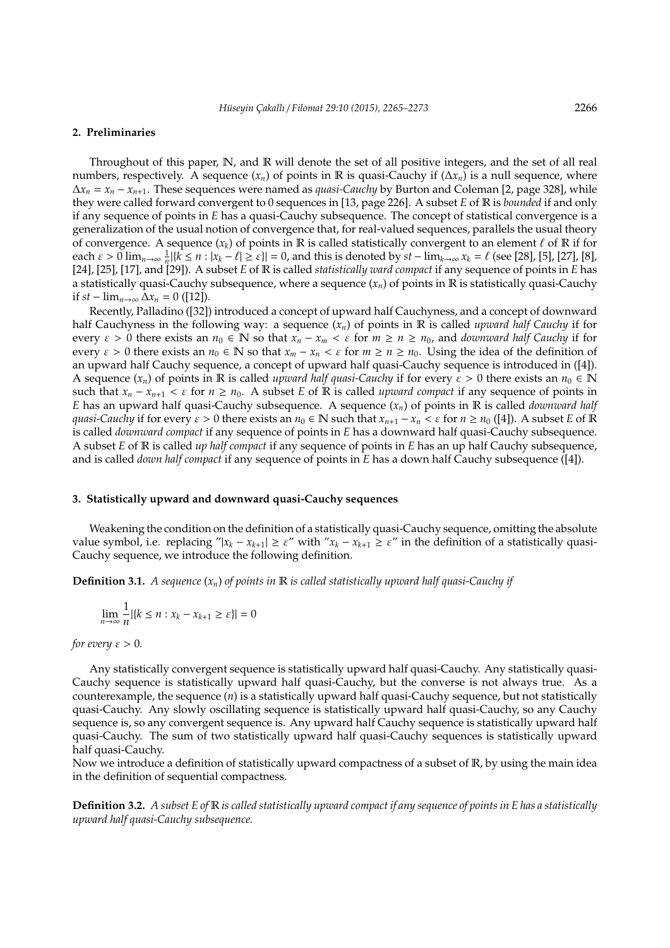#### **2. Preliminaries**

Throughout of this paper, N, and R will denote the set of all positive integers, and the set of all real numbers, respectively. A sequence  $(x_n)$  of points in R is quasi-Cauchy if  $(\Delta x_n)$  is a null sequence, where ∆*x<sup>n</sup>* = *x<sup>n</sup>* − *x<sup>n</sup>*+1. These sequences were named as *quasi-Cauchy* by Burton and Coleman [2, page 328], while they were called forward convergent to 0 sequences in [13, page 226]. A subset *E* of R is *bounded* if and only if any sequence of points in *E* has a quasi-Cauchy subsequence. The concept of statistical convergence is a generalization of the usual notion of convergence that, for real-valued sequences, parallels the usual theory of convergence. A sequence  $(x_k)$  of points in R is called statistically convergent to an element  $\ell$  of R if for each  $\varepsilon > 0$  lim<sub>*n*→∞</sub>  $\frac{1}{n}$ [ $\{k \le n : |x_k - \ell| \ge \varepsilon\}$ ] = 0, and this is denoted by  $st - \lim_{k \to \infty} x_k = \ell$  (see [28], [5], [27], [8], [24], [25], [17], and [29]). A subset *E* of R is called *statistically ward compact* if any sequence of points in *E* has a statistically quasi-Cauchy subsequence, where a sequence  $(x_n)$  of points in  $\mathbb R$  is statistically quasi-Cauchy if *st* − lim<sub>*n*→∞</sub>  $\Delta x_n$  = 0 ([12]).

Recently, Palladino ([32]) introduced a concept of upward half Cauchyness, and a concept of downward half Cauchyness in the following way: a sequence (*xn*) of points in R is called *upward half Cauchy* if for every  $\varepsilon > 0$  there exists an  $n_0 \in \mathbb{N}$  so that  $x_n - x_m < \varepsilon$  for  $m \ge n \ge n_0$ , and *downward half Cauchy* if for every  $\varepsilon > 0$  there exists an  $n_0 \in \mathbb{N}$  so that  $x_m - x_n < \varepsilon$  for  $m \ge n \ge n_0$ . Using the idea of the definition of an upward half Cauchy sequence, a concept of upward half quasi-Cauchy sequence is introduced in ([4]). A sequence  $(x_n)$  of points in R is called *upward half quasi-Cauchy* if for every  $\varepsilon > 0$  there exists an  $n_0 \in \mathbb{N}$ such that  $x_n - x_{n+1} < \varepsilon$  for  $n \geq n_0$ . A subset *E* of **R** is called *upward compact* if any sequence of points in *E* has an upward half quasi-Cauchy subsequence. A sequence (*xn*) of points in R is called *downward half quasi-Cauchy* if for every  $\varepsilon > 0$  there exists an  $n_0 \in \mathbb{N}$  such that  $x_{n+1} - x_n < \varepsilon$  for  $n \geq n_0$  ([4]). A subset *E* of **R** is called *downward compact* if any sequence of points in *E* has a downward half quasi-Cauchy subsequence. A subset *E* of R is called *up half compact* if any sequence of points in *E* has an up half Cauchy subsequence, and is called *down half compact* if any sequence of points in *E* has a down half Cauchy subsequence ([4]).

#### **3. Statistically upward and downward quasi-Cauchy sequences**

Weakening the condition on the definition of a statistically quasi-Cauchy sequence, omitting the absolute value symbol, i.e. replacing " $|x_k - x_{k+1}| \ge \varepsilon$ " with " $x_k - x_{k+1} \ge \varepsilon$ " in the definition of a statistically quasi-Cauchy sequence, we introduce the following definition.

**Definition 3.1.** *A sequence*  $(x_n)$  *of points in*  $\mathbb R$  *is called statistically upward half quasi-Cauchy if* 

$$
\lim_{n \to \infty} \frac{1}{n} |\{k \le n : x_k - x_{k+1} \ge \varepsilon\}| = 0
$$

*for every*  $\varepsilon > 0$ *.* 

Any statistically convergent sequence is statistically upward half quasi-Cauchy. Any statistically quasi-Cauchy sequence is statistically upward half quasi-Cauchy, but the converse is not always true. As a counterexample, the sequence (*n*) is a statistically upward half quasi-Cauchy sequence, but not statistically quasi-Cauchy. Any slowly oscillating sequence is statistically upward half quasi-Cauchy, so any Cauchy sequence is, so any convergent sequence is. Any upward half Cauchy sequence is statistically upward half quasi-Cauchy. The sum of two statistically upward half quasi-Cauchy sequences is statistically upward half quasi-Cauchy.

Now we introduce a definition of statistically upward compactness of a subset of R, by using the main idea in the definition of sequential compactness.

**Definition 3.2.** *A subset E of* R *is called statistically upward compact if any sequence of points in E has a statistically upward half quasi-Cauchy subsequence.*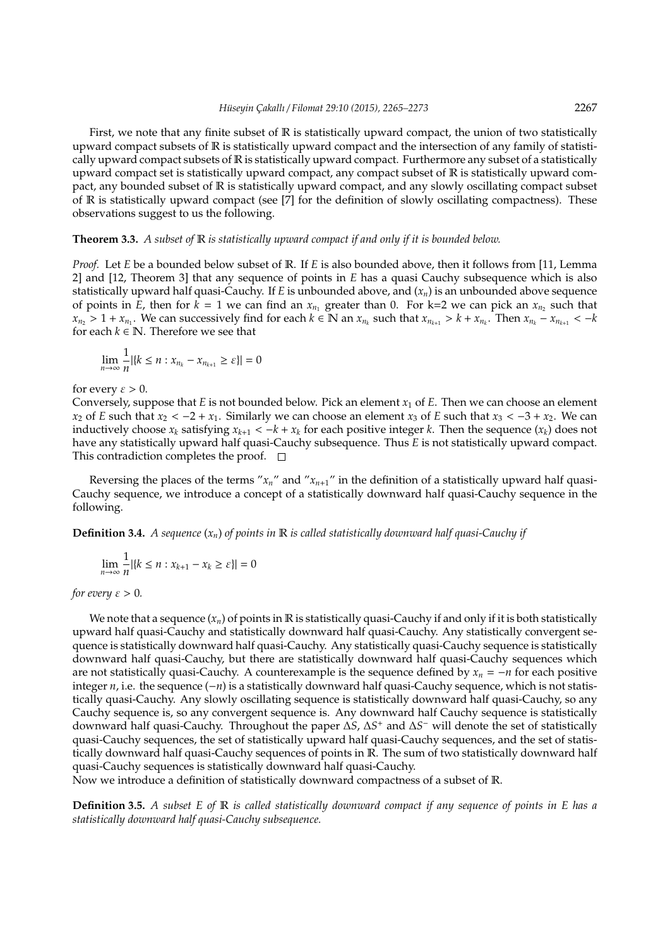First, we note that any finite subset of R is statistically upward compact, the union of two statistically upward compact subsets of R is statistically upward compact and the intersection of any family of statistically upward compact subsets of R is statistically upward compact. Furthermore any subset of a statistically upward compact set is statistically upward compact, any compact subset of R is statistically upward compact, any bounded subset of R is statistically upward compact, and any slowly oscillating compact subset of R is statistically upward compact (see [7] for the definition of slowly oscillating compactness). These observations suggest to us the following.

#### **Theorem 3.3.** *A subset of* R *is statistically upward compact if and only if it is bounded below.*

*Proof.* Let *E* be a bounded below subset of R. If *E* is also bounded above, then it follows from [11, Lemma 2] and [12, Theorem 3] that any sequence of points in *E* has a quasi Cauchy subsequence which is also statistically upward half quasi-Cauchy. If *E* is unbounded above, and (*xn*) is an unbounded above sequence of points in *E*, then for  $k = 1$  we can find an  $x_{n_1}$  greater than 0. For k=2 we can pick an  $x_{n_2}$  such that  $x_{n_2} > 1 + x_{n_1}$ . We can successively find for each  $k \in \mathbb{N}$  an  $x_{n_k}$  such that  $x_{n_{k+1}} > k + x_{n_k}$ . Then  $x_{n_k} - x_{n_{k+1}} < -k$ for each  $k \in \mathbb{N}$ . Therefore we see that

$$
\lim_{n\to\infty}\frac{1}{n}|\{k\leq n: x_{n_k}-x_{n_{k+1}}\geq \varepsilon\}|=0
$$

for every  $\varepsilon > 0$ .

Conversely, suppose that *E* is not bounded below. Pick an element  $x_1$  of *E*. Then we can choose an element *x*<sub>2</sub> of *E* such that  $x_2 < -2 + x_1$ . Similarly we can choose an element  $x_3$  of *E* such that  $x_3 < -3 + x_2$ . We can inductively choose  $x_k$  satisfying  $x_{k+1} < -k + x_k$  for each positive integer *k*. Then the sequence  $(x_k)$  does not have any statistically upward half quasi-Cauchy subsequence. Thus *E* is not statistically upward compact. This contradiction completes the proof.  $\square$ 

Reversing the places of the terms " $x_n$ " and " $x_{n+1}$ " in the definition of a statistically upward half quasi-Cauchy sequence, we introduce a concept of a statistically downward half quasi-Cauchy sequence in the following.

**Definition 3.4.** *A sequence*  $(x_n)$  *of points in*  $\mathbb R$  *is called statistically downward half quasi-Cauchy if* 

$$
\lim_{n \to \infty} \frac{1}{n} |\{k \le n : x_{k+1} - x_k \ge \varepsilon\}| = 0
$$

*for every*  $\varepsilon > 0$ *.* 

We note that a sequence  $(x_n)$  of points in  $\mathbb R$  is statistically quasi-Cauchy if and only if it is both statistically upward half quasi-Cauchy and statistically downward half quasi-Cauchy. Any statistically convergent sequence is statistically downward half quasi-Cauchy. Any statistically quasi-Cauchy sequence is statistically downward half quasi-Cauchy, but there are statistically downward half quasi-Cauchy sequences which are not statistically quasi-Cauchy. A counterexample is the sequence defined by *x<sup>n</sup>* = −*n* for each positive integer *n*, i.e. the sequence (−*n*) is a statistically downward half quasi-Cauchy sequence, which is not statistically quasi-Cauchy. Any slowly oscillating sequence is statistically downward half quasi-Cauchy, so any Cauchy sequence is, so any convergent sequence is. Any downward half Cauchy sequence is statistically downward half quasi-Cauchy. Throughout the paper ∆*S*, ∆*S* <sup>+</sup> and ∆*S* <sup>−</sup> will denote the set of statistically quasi-Cauchy sequences, the set of statistically upward half quasi-Cauchy sequences, and the set of statistically downward half quasi-Cauchy sequences of points in R. The sum of two statistically downward half quasi-Cauchy sequences is statistically downward half quasi-Cauchy.

Now we introduce a definition of statistically downward compactness of a subset of R.

**Definition 3.5.** *A subset E of* R *is called statistically downward compact if any sequence of points in E has a statistically downward half quasi-Cauchy subsequence.*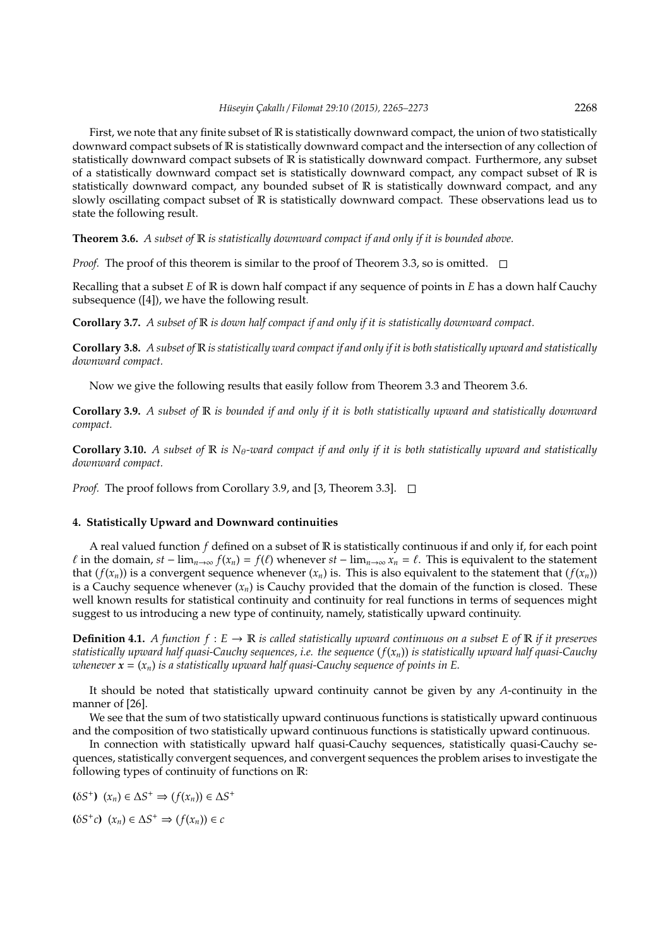First, we note that any finite subset of  $\mathbb R$  is statistically downward compact, the union of two statistically downward compact subsets of R is statistically downward compact and the intersection of any collection of statistically downward compact subsets of R is statistically downward compact. Furthermore, any subset of a statistically downward compact set is statistically downward compact, any compact subset of  $\mathbb R$  is statistically downward compact, any bounded subset of R is statistically downward compact, and any slowly oscillating compact subset of R is statistically downward compact. These observations lead us to state the following result.

#### **Theorem 3.6.** *A subset of* R *is statistically downward compact if and only if it is bounded above.*

*Proof.* The proof of this theorem is similar to the proof of Theorem 3.3, so is omitted.  $\square$ 

Recalling that a subset *E* of R is down half compact if any sequence of points in *E* has a down half Cauchy subsequence ([4]), we have the following result.

**Corollary 3.7.** *A subset of* R *is down half compact if and only if it is statistically downward compact.*

**Corollary 3.8.** *A subset of* R *is statistically ward compact if and only if it is both statistically upward and statistically downward compact.*

Now we give the following results that easily follow from Theorem 3.3 and Theorem 3.6.

**Corollary 3.9.** *A subset of* R *is bounded if and only if it is both statistically upward and statistically downward compact.*

**Corollary 3.10.** *A subset of*  $\mathbb{R}$  *is*  $N_{\theta}$ -ward compact if and only if it is both statistically upward and statistically *downward compact.*

*Proof.* The proof follows from Corollary 3.9, and [3, Theorem 3.3]. □

## **4. Statistically Upward and Downward continuities**

A real valued function *f* defined on a subset of R is statistically continuous if and only if, for each point *l* in the domain, *st* − lim<sub>*n*→∞</sub>  $f(x_n) = f(\ell)$  whenever *st* − lim<sub>*n*→∞</sub>  $x_n = \ell$ . This is equivalent to the statement that  $(f(x_n))$  is a convergent sequence whenever  $(x_n)$  is. This is also equivalent to the statement that  $(f(x_n))$ is a Cauchy sequence whenever  $(x_n)$  is Cauchy provided that the domain of the function is closed. These well known results for statistical continuity and continuity for real functions in terms of sequences might suggest to us introducing a new type of continuity, namely, statistically upward continuity.

**Definition 4.1.** *A function*  $f : E \to \mathbb{R}$  *is called statistically upward continuous on a subset*  $E$  *of*  $\mathbb{R}$  *if it preserves statistically upward half quasi-Cauchy sequences, i.e. the sequence* (*f*(*xn*)) *is statistically upward half quasi-Cauchy whenever*  $\mathbf{x} = (x_n)$  *is a statistically upward half quasi-Cauchy sequence of points in E.* 

It should be noted that statistically upward continuity cannot be given by any *A*-continuity in the manner of [26].

We see that the sum of two statistically upward continuous functions is statistically upward continuous and the composition of two statistically upward continuous functions is statistically upward continuous.

In connection with statistically upward half quasi-Cauchy sequences, statistically quasi-Cauchy sequences, statistically convergent sequences, and convergent sequences the problem arises to investigate the following types of continuity of functions on R:

$$
(\delta S^+) \ (x_n) \in \Delta S^+ \Rightarrow (f(x_n)) \in \Delta S^+
$$

**(**δ*S* + *c***)** (*xn*) ∈ ∆*S* <sup>+</sup> ⇒ (*f*(*xn*)) ∈ *c*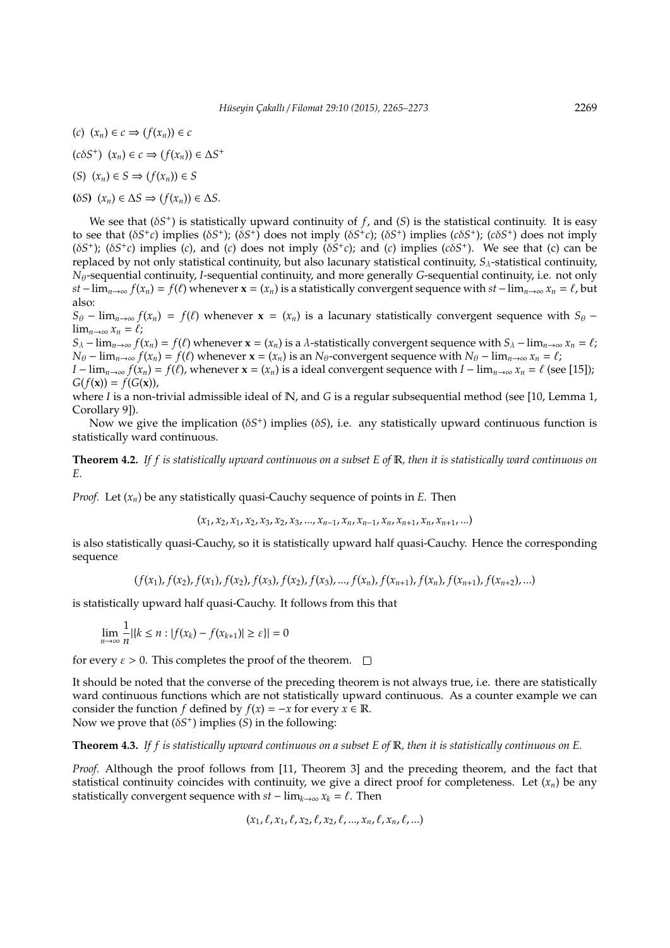- (*c*) (*xn*) ∈ *c* ⇒ (*f*(*xn*)) ∈ *c*
- $(c\delta S^+)$   $(x_n) \in c \Rightarrow (f(x_n)) \in \Delta S^+$
- (*S*) (*xn*) ∈ *S* ⇒ (*f*(*xn*)) ∈ *S*
- **(**δ*S***)** (*xn*) ∈ ∆*S* ⇒ (*f*(*xn*)) ∈ ∆*S*.

We see that  $(\delta S^+)$  is statistically upward continuity of  $f$ , and  $(S)$  is the statistical continuity. It is easy to see that  $(\delta S^+c)$  implies  $(\delta S^+)$ ;  $(\delta S^+)$  does not imply  $(\delta S^+c)$ ;  $(\delta S^+)$  implies  $(c\delta S^+)$ ;  $(c\delta S^+)$  does not imply ( $\delta S^+$ ); ( $\delta S^+c$ ) implies (*c*), and (*c*) does not imply ( $\delta S^+c$ ); and (*c*) implies ( $c\delta S^+$ ). We see that (*c*) can be replaced by not only statistical continuity, but also lacunary statistical continuity, *S*λ-statistical continuity, *N*θ-sequential continuity, *I*-sequential continuity, and more generally *G*-sequential continuity, i.e. not only *st* − lim<sub>*n*→∞</sub>  $f(x_n) = f(\ell)$  whenever  $\mathbf{x} = (x_n)$  is a statistically convergent sequence with  $st$  − lim<sub>*n*→∞</sub>  $x_n = \ell$ , but also:

 $S_{\theta}$  − lim<sub>*n*→∞</sub>  $f(x_n) = f(\ell)$  whenever  $\mathbf{x} = (x_n)$  is a lacunary statistically convergent sequence with  $S_{\theta}$  −  $\lim_{n\to\infty} x_n = \ell;$ 

 $S_\lambda$  − lim<sub>*n*→∞</sub>  $f(x_n) = f(\ell)$  whenever  $\mathbf{x} = (x_n)$  is a  $\lambda$ -statistically convergent sequence with  $S_\lambda$  − lim<sub>*n*→∞</sub>  $x_n = \ell$ ; *N*θ − lim<sub>*n*→∞</sub>  $f(x_n) = f(\ell)$  whenever  $\mathbf{x} = (x_n)$  is an *N*θ-convergent sequence with *N*θ − lim<sub>*n*→∞</sub>  $x_n = \ell$ ;  $I - \lim_{n \to \infty} f(x_n) = f(\ell)$ , whenever  $\mathbf{x} = (x_n)$  is a ideal convergent sequence with  $I - \lim_{n \to \infty} x_n = \ell$  (see [15]);

 $G(f(x)) = f(G(x)),$ where *I* is a non-trivial admissible ideal of N, and *G* is a regular subsequential method (see [10, Lemma 1,

Corollary 9]). Now we give the implication (δ*S* + ) implies (δ*S*), i.e. any statistically upward continuous function is

statistically ward continuous.

**Theorem 4.2.** *If f is statistically upward continuous on a subset E of* R*, then it is statistically ward continuous on E.*

*Proof.* Let (*xn*) be any statistically quasi-Cauchy sequence of points in *E*. Then

$$
(x_1, x_2, x_1, x_2, x_3, x_2, x_3, ..., x_{n-1}, x_n, x_{n-1}, x_n, x_{n+1}, x_n, x_{n+1}, ...)
$$

is also statistically quasi-Cauchy, so it is statistically upward half quasi-Cauchy. Hence the corresponding sequence

$$
(f(x_1), f(x_2), f(x_1), f(x_2), f(x_3), f(x_2), f(x_3), ..., f(x_n), f(x_{n+1}), f(x_n), f(x_{n+1}), f(x_{n+2}), ...)
$$

is statistically upward half quasi-Cauchy. It follows from this that

$$
\lim_{n\to\infty}\frac{1}{n}|\{k\leq n:|f(x_k)-f(x_{k+1})|\geq \varepsilon\}|=0
$$

for every  $\varepsilon > 0$ . This completes the proof of the theorem.  $\square$ 

It should be noted that the converse of the preceding theorem is not always true, i.e. there are statistically ward continuous functions which are not statistically upward continuous. As a counter example we can consider the function *f* defined by  $f(x) = -x$  for every  $x \in \mathbb{R}$ . Now we prove that (δ*S* + ) implies (*S*) in the following:

**Theorem 4.3.** *If f is statistically upward continuous on a subset E of* R*, then it is statistically continuous on E.*

*Proof.* Although the proof follows from [11, Theorem 3] and the preceding theorem, and the fact that statistical continuity coincides with continuity, we give a direct proof for completeness. Let  $(x_n)$  be any statistically convergent sequence with  $st - \lim_{k \to \infty} x_k = \ell$ . Then

 $(x_1, \ell, x_1, \ell, x_2, \ell, x_2, \ell, ..., x_n, \ell, x_n, \ell, ...)$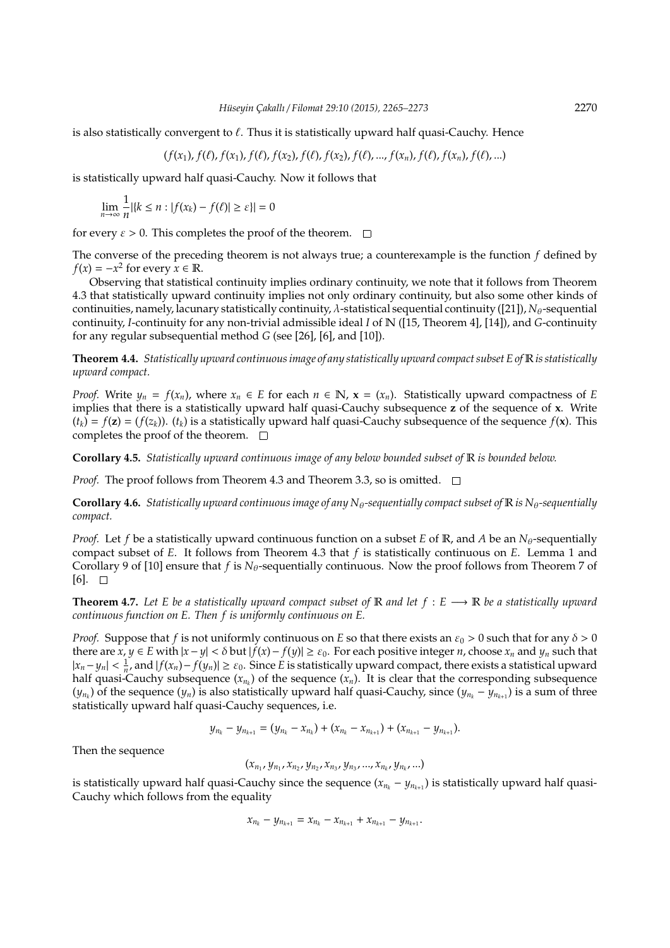is also statistically convergent to  $\ell$ . Thus it is statistically upward half quasi-Cauchy. Hence

$$
(f(x_1), f(\ell), f(x_1), f(\ell), f(x_2), f(\ell), f(x_2), f(\ell), ..., f(x_n), f(\ell), f(x_n), f(\ell), ...)
$$

is statistically upward half quasi-Cauchy. Now it follows that

$$
\lim_{n \to \infty} \frac{1}{n} |\{k \le n : |f(x_k) - f(\ell)| \ge \varepsilon\}| = 0
$$

for every  $\varepsilon > 0$ . This completes the proof of the theorem.  $\square$ 

The converse of the preceding theorem is not always true; a counterexample is the function *f* defined by  $f(x) = -x^2$  for every  $x \in \mathbb{R}$ .

Observing that statistical continuity implies ordinary continuity, we note that it follows from Theorem 4.3 that statistically upward continuity implies not only ordinary continuity, but also some other kinds of continuities, namely, lacunary statistically continuity,  $\lambda$ -statistical sequential continuity ([21]),  $N_{\theta}$ -sequential continuity, *I*-continuity for any non-trivial admissible ideal *I* of N ([15, Theorem 4], [14]), and *G*-continuity for any regular subsequential method *G* (see [26], [6], and [10]).

**Theorem 4.4.** *Statistically upward continuous image of any statistically upward compact subset E of* R *is statistically upward compact.*

*Proof.* Write  $y_n = f(x_n)$ , where  $x_n \in E$  for each  $n \in \mathbb{N}$ ,  $\mathbf{x} = (x_n)$ . Statistically upward compactness of *E* implies that there is a statistically upward half quasi-Cauchy subsequence **z** of the sequence of **x**. Write  $(t_k) = f(z) = (f(z_k))$ .  $(t_k)$  is a statistically upward half quasi-Cauchy subsequence of the sequence  $f(x)$ . This completes the proof of the theorem.  $\square$ 

**Corollary 4.5.** *Statistically upward continuous image of any below bounded subset of* R *is bounded below.*

*Proof.* The proof follows from Theorem 4.3 and Theorem 3.3, so is omitted.  $\square$ 

**Corollary 4.6.** *Statistically upward continuous image of any N* $_{\theta}$ -sequentially compact subset of  $\mathbb{R}$  is N $_{\theta}$ -sequentially *compact.*

*Proof.* Let *f* be a statistically upward continuous function on a subset *E* of R, and *A* be an  $N_{\theta}$ -sequentially compact subset of *E*. It follows from Theorem 4.3 that *f* is statistically continuous on *E*. Lemma 1 and Corollary 9 of [10] ensure that *f* is  $N_{\theta}$ -sequentially continuous. Now the proof follows from Theorem 7 of  $[6]$ .  $\Box$ 

**Theorem 4.7.** Let E be a statistically upward compact subset of R and let  $f : E \longrightarrow \mathbb{R}$  be a statistically upward *continuous function on E. Then f is uniformly continuous on E.*

*Proof.* Suppose that *f* is not uniformly continuous on *E* so that there exists an  $\varepsilon_0 > 0$  such that for any  $\delta > 0$ there are *x*, *y* ∈ *E* with  $|x - y|$  < δ but  $|f(x) - f(y)|$  ≥  $\varepsilon_0$ . For each positive integer *n*, choose *x<sub>n</sub>* and *y<sub>n</sub>* such that  $|x_n-y_n| < \frac{1}{n'}$  and  $|f(x_n)-f(y_n)| \ge \varepsilon_0$ . Since *E* is statistically upward compact, there exists a statistical upward half quasi-Cauchy subsequence (*x<sup>n</sup><sup>k</sup>* ) of the sequence (*xn*). It is clear that the corresponding subsequence  $(y_{n_k})$  of the sequence  $(y_n)$  is also statistically upward half quasi-Cauchy, since  $(y_{n_k} - y_{n_{k+1}})$  is a sum of three statistically upward half quasi-Cauchy sequences, i.e.

$$
y_{n_k} - y_{n_{k+1}} = (y_{n_k} - x_{n_k}) + (x_{n_k} - x_{n_{k+1}}) + (x_{n_{k+1}} - y_{n_{k+1}}).
$$

Then the sequence

$$
(x_{n_1}, y_{n_1}, x_{n_2}, y_{n_2}, x_{n_3}, y_{n_3}, ..., x_{n_k}, y_{n_k}, ...)
$$

is statistically upward half quasi-Cauchy since the sequence (*x<sup>n</sup><sup>k</sup>* − *y<sup>n</sup>k*+<sup>1</sup> ) is statistically upward half quasi-Cauchy which follows from the equality

$$
x_{n_k} - y_{n_{k+1}} = x_{n_k} - x_{n_{k+1}} + x_{n_{k+1}} - y_{n_{k+1}}.
$$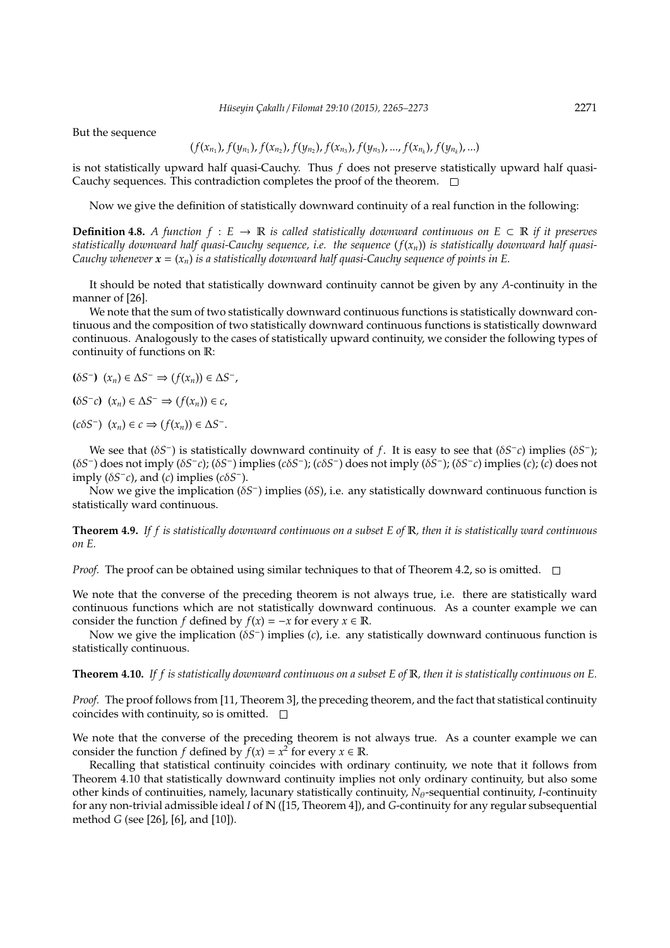But the sequence

$$
(f(x_{n_1}), f(y_{n_1}), f(x_{n_2}), f(y_{n_2}), f(x_{n_3}), f(y_{n_3}), ..., f(x_{n_k}), f(y_{n_k}), ...)
$$

is not statistically upward half quasi-Cauchy. Thus *f* does not preserve statistically upward half quasi-Cauchy sequences. This contradiction completes the proof of the theorem.  $\square$ 

Now we give the definition of statistically downward continuity of a real function in the following:

**Definition 4.8.** *A function*  $f : E \to \mathbb{R}$  *is called statistically downward continuous on*  $E \subset \mathbb{R}$  *if it preserves* statistically downward half quasi-Cauchy sequence, i.e. the sequence  $(f(x_n))$  is statistically downward half quasi-*Cauchy whenever*  $\mathbf{x} = (x_n)$  *is a statistically downward half quasi-Cauchy sequence of points in E.* 

It should be noted that statistically downward continuity cannot be given by any *A*-continuity in the manner of [26].

We note that the sum of two statistically downward continuous functions is statistically downward continuous and the composition of two statistically downward continuous functions is statistically downward continuous. Analogously to the cases of statistically upward continuity, we consider the following types of continuity of functions on R:

**(**δ*S* − **)** (*xn*) ∈ ∆*S* <sup>−</sup> ⇒ (*f*(*xn*)) ∈ ∆*S* − ,

**(**δ*S* − *c***)** (*xn*) ∈ ∆*S* <sup>−</sup> ⇒ (*f*(*xn*)) ∈ *c*,

 $(c\delta S^-)$   $(x_n) \in c \Rightarrow (f(x_n)) \in \Delta S^-$ .

We see that  $(\delta S^-)$  is statistically downward continuity of *f*. It is easy to see that  $(\delta S^- c)$  implies  $(\delta S^-)$ ; (δ*S*<sup>−</sup>) does not imply (δ*S*<sup>−</sup>*c*); (δ*S*<sup>−</sup>) implies (*c*δ*S*<sup>−</sup>); (*c*δ*S*<sup>−</sup>) does not imply (δ*S*<sup>−</sup>); (δ*S*<sup>−</sup>*c*) implies (*c*); (*c*) does not imply ( $\delta S^- c$ ), and (*c*) implies ( $c \delta S^-$ ).

Now we give the implication (δ*S* − ) implies (δ*S*), i.e. any statistically downward continuous function is statistically ward continuous.

**Theorem 4.9.** *If f is statistically downward continuous on a subset E of* R*, then it is statistically ward continuous on E.*

*Proof.* The proof can be obtained using similar techniques to that of Theorem 4.2, so is omitted.  $\square$ 

We note that the converse of the preceding theorem is not always true, i.e. there are statistically ward continuous functions which are not statistically downward continuous. As a counter example we can consider the function *f* defined by  $f(x) = -x$  for every  $x \in \mathbb{R}$ .

Now we give the implication (δ*S*<sup>−</sup>) implies (*c*), i.e. any statistically downward continuous function is statistically continuous.

**Theorem 4.10.** *If f is statistically downward continuous on a subset E of* R*, then it is statistically continuous on E.*

*Proof.* The proof follows from [11, Theorem 3], the preceding theorem, and the fact that statistical continuity coincides with continuity, so is omitted.  $\square$ 

We note that the converse of the preceding theorem is not always true. As a counter example we can consider the function *f* defined by  $f(x) = x^2$  for every  $x \in \mathbb{R}$ .

Recalling that statistical continuity coincides with ordinary continuity, we note that it follows from Theorem 4.10 that statistically downward continuity implies not only ordinary continuity, but also some other kinds of continuities, namely, lacunary statistically continuity,  $N_{\theta}$ -sequential continuity, *I*-continuity for any non-trivial admissible ideal *I* of N ([15, Theorem 4]), and *G*-continuity for any regular subsequential method *G* (see [26], [6], and [10]).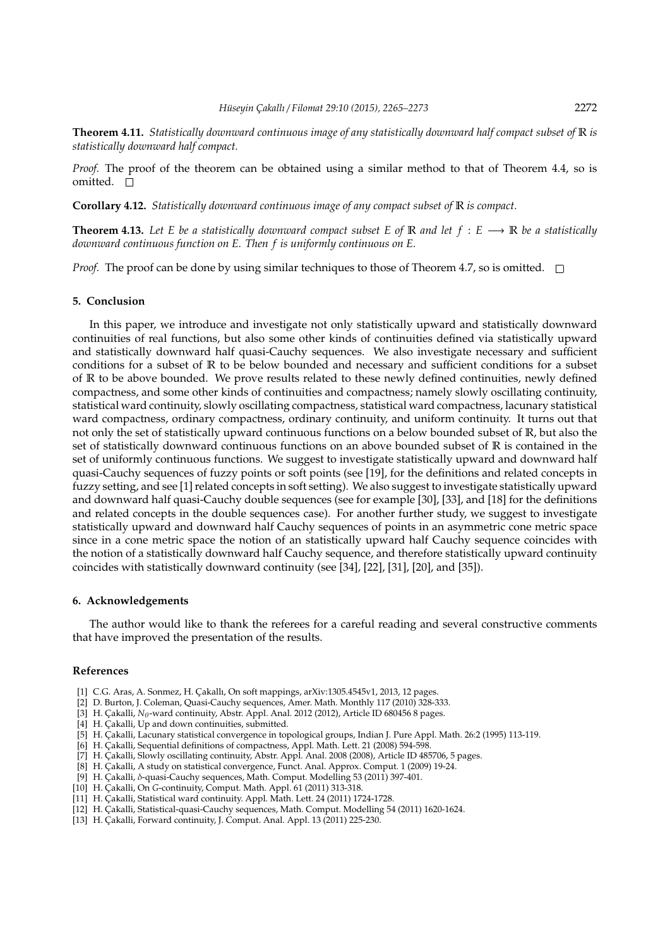**Theorem 4.11.** *Statistically downward continuous image of any statistically downward half compact subset of* R *is statistically downward half compact.*

*Proof.* The proof of the theorem can be obtained using a similar method to that of Theorem 4.4, so is omitted. □

**Corollary 4.12.** *Statistically downward continuous image of any compact subset of* R *is compact.*

**Theorem 4.13.** Let E be a statistically downward compact subset E of R and let  $f : E \longrightarrow \mathbb{R}$  be a statistically *downward continuous function on E. Then f is uniformly continuous on E.*

*Proof.* The proof can be done by using similar techniques to those of Theorem 4.7, so is omitted.  $\square$ 

#### **5. Conclusion**

In this paper, we introduce and investigate not only statistically upward and statistically downward continuities of real functions, but also some other kinds of continuities defined via statistically upward and statistically downward half quasi-Cauchy sequences. We also investigate necessary and sufficient conditions for a subset of R to be below bounded and necessary and sufficient conditions for a subset of R to be above bounded. We prove results related to these newly defined continuities, newly defined compactness, and some other kinds of continuities and compactness; namely slowly oscillating continuity, statistical ward continuity, slowly oscillating compactness, statistical ward compactness, lacunary statistical ward compactness, ordinary compactness, ordinary continuity, and uniform continuity. It turns out that not only the set of statistically upward continuous functions on a below bounded subset of R, but also the set of statistically downward continuous functions on an above bounded subset of R is contained in the set of uniformly continuous functions. We suggest to investigate statistically upward and downward half quasi-Cauchy sequences of fuzzy points or soft points (see [19], for the definitions and related concepts in fuzzy setting, and see [1] related concepts in soft setting). We also suggest to investigate statistically upward and downward half quasi-Cauchy double sequences (see for example [30], [33], and [18] for the definitions and related concepts in the double sequences case). For another further study, we suggest to investigate statistically upward and downward half Cauchy sequences of points in an asymmetric cone metric space since in a cone metric space the notion of an statistically upward half Cauchy sequence coincides with the notion of a statistically downward half Cauchy sequence, and therefore statistically upward continuity coincides with statistically downward continuity (see [34], [22], [31], [20], and [35]).

#### **6. Acknowledgements**

The author would like to thank the referees for a careful reading and several constructive comments that have improved the presentation of the results.

### **References**

- [1] C.G. Aras, A. Sonmez, H. Çakallı, On soft mappings, arXiv:1305.4545v1, 2013, 12 pages.
- [2] D. Burton, J. Coleman, Quasi-Cauchy sequences, Amer. Math. Monthly 117 (2010) 328-333.
- [3] H. Çakalli, *N*<sub>0</sub>-ward continuity, Abstr. Appl. Anal. 2012 (2012), Article ID 680456 8 pages.
- [4] H. Cakalli, Up and down continuities, submitted.
- [5] H. Çakalli, Lacunary statistical convergence in topological groups, Indian J. Pure Appl. Math. 26:2 (1995) 113-119.
- [6] H. Çakalli, Sequential definitions of compactness, Appl. Math. Lett. 21 (2008) 594-598.
- [7] H. Çakalli, Slowly oscillating continuity, Abstr. Appl. Anal. 2008 (2008), Article ID 485706, 5 pages.
- [8] H. Çakalli, A study on statistical convergence, Funct. Anal. Approx. Comput. 1 (2009) 19-24.
- [9] H. Çakalli, δ-quasi-Cauchy sequences, Math. Comput. Modelling 53 (2011) 397-401.
- [10] H. Çakalli, On *G*-continuity, Comput. Math. Appl. 61 (2011) 313-318.
- [11] H. Çakalli, Statistical ward continuity. Appl. Math. Lett. 24 (2011) 1724-1728.
- [12] H. Çakalli, Statistical-quasi-Cauchy sequences, Math. Comput. Modelling 54 (2011) 1620-1624.
- [13] H. Çakalli, Forward continuity, J. Comput. Anal. Appl. 13 (2011) 225-230.